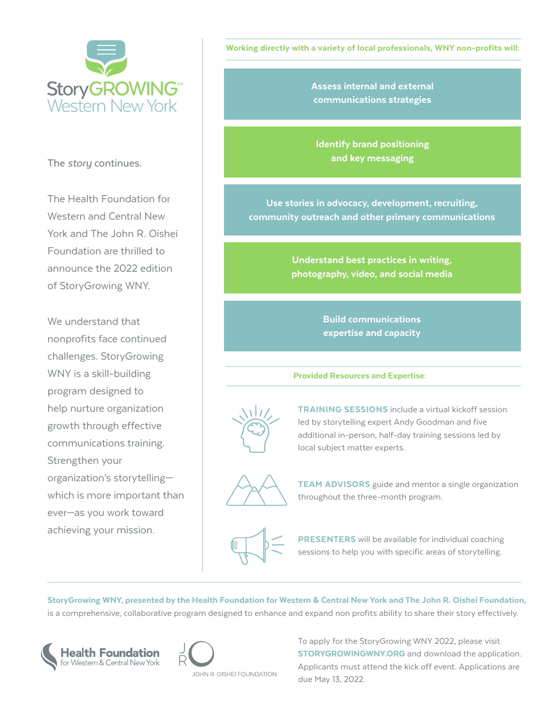

The *story* continues.

The Health Foundation for Western and Central New York and The John R. Oishei Foundation are thrilled to announce the 2022 edition of StoryGrowing WNY.

We understand that nonprofits face continued challenges. StoryGrowing WNY is a skill-building program designed to help nurture organization growth through effective communications training. Strengthen your organization's storytelling which is more important than ever—as you work toward achieving your mission.

Working directly with a variety of local professionals, WNY non-profits will:

Assess internal and external communications strategies

Identify brand positioning and key messaging

Use stories in advocacy, development, recruiting, community outreach and other primary communications

> Understand best practices in writing, photography, video, and social media

> > Build communications expertise and capacity

Provided Resources and Expertise:



**TRAINING SESSIONS** include a virtual kickoff session led by storytelling expert Andy Goodman and five additional in-person, half-day training sessions led by local subject matter experts.



**TEAM ADVISORS** guide and mentor a single organization throughout the three-month program.

PRESENTERS will be available for individual coaching sessions to help you with specific areas of storytelling.

StoryGrowing WNY, presented by the Health Foundation for Western & Central New York and The John R. Oishei Foundation, is a comprehensive, collaborative program designed to enhance and expand non profits ability to share their story effectively.





To apply for the StoryGrowing WNY 2022, please visit **STORYGROWINGWNY.ORG** and download the application. Applicants must attend the kick off event. Applications are due May 13, 2022.